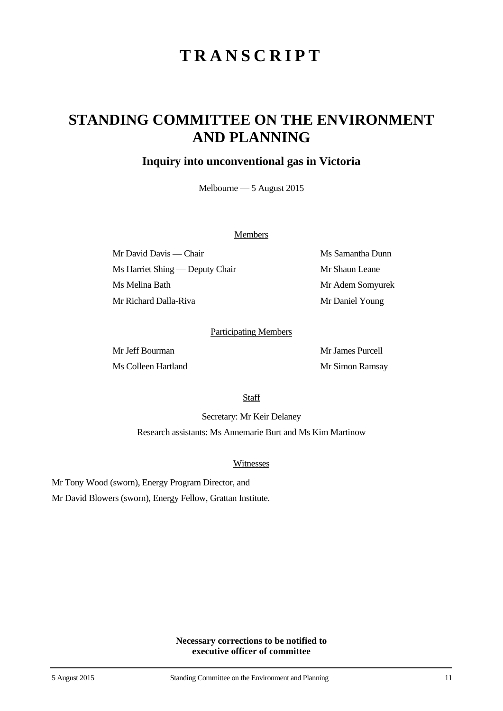# **TRANSCRIPT**

## **STANDING COMMITTEE ON THE ENVIRONMENT AND PLANNING**

### **Inquiry into unconventional gas in Victoria**

Melbourne — 5 August 2015

#### **Members**

Mr David Davis — Chair Ms Samantha Dunn Ms Harriet Shing — Deputy Chair Mr Shaun Leane Ms Melina Bath Mr Adem Somyurek Mr Richard Dalla-Riva Mr Daniel Young

#### Participating Members

Ms Colleen Hartland Mr Simon Ramsay

Mr Jeff Bourman Mr James Purcell

**Staff** 

Secretary: Mr Keir Delaney Research assistants: Ms Annemarie Burt and Ms Kim Martinow

#### Witnesses

Mr Tony Wood (sworn), Energy Program Director, and Mr David Blowers (sworn), Energy Fellow, Grattan Institute.

> **Necessary corrections to be notified to executive officer of committee**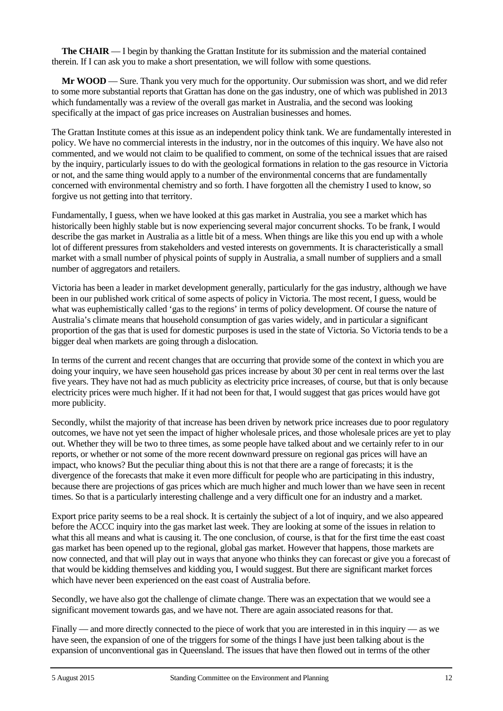**The CHAIR** — I begin by thanking the Grattan Institute for its submission and the material contained therein. If I can ask you to make a short presentation, we will follow with some questions.

**Mr WOOD** — Sure. Thank you very much for the opportunity. Our submission was short, and we did refer to some more substantial reports that Grattan has done on the gas industry, one of which was published in 2013 which fundamentally was a review of the overall gas market in Australia, and the second was looking specifically at the impact of gas price increases on Australian businesses and homes.

The Grattan Institute comes at this issue as an independent policy think tank. We are fundamentally interested in policy. We have no commercial interests in the industry, nor in the outcomes of this inquiry. We have also not commented, and we would not claim to be qualified to comment, on some of the technical issues that are raised by the inquiry, particularly issues to do with the geological formations in relation to the gas resource in Victoria or not, and the same thing would apply to a number of the environmental concerns that are fundamentally concerned with environmental chemistry and so forth. I have forgotten all the chemistry I used to know, so forgive us not getting into that territory.

Fundamentally, I guess, when we have looked at this gas market in Australia, you see a market which has historically been highly stable but is now experiencing several major concurrent shocks. To be frank, I would describe the gas market in Australia as a little bit of a mess. When things are like this you end up with a whole lot of different pressures from stakeholders and vested interests on governments. It is characteristically a small market with a small number of physical points of supply in Australia, a small number of suppliers and a small number of aggregators and retailers.

Victoria has been a leader in market development generally, particularly for the gas industry, although we have been in our published work critical of some aspects of policy in Victoria. The most recent, I guess, would be what was euphemistically called 'gas to the regions' in terms of policy development. Of course the nature of Australia's climate means that household consumption of gas varies widely, and in particular a significant proportion of the gas that is used for domestic purposes is used in the state of Victoria. So Victoria tends to be a bigger deal when markets are going through a dislocation.

In terms of the current and recent changes that are occurring that provide some of the context in which you are doing your inquiry, we have seen household gas prices increase by about 30 per cent in real terms over the last five years. They have not had as much publicity as electricity price increases, of course, but that is only because electricity prices were much higher. If it had not been for that, I would suggest that gas prices would have got more publicity.

Secondly, whilst the majority of that increase has been driven by network price increases due to poor regulatory outcomes, we have not yet seen the impact of higher wholesale prices, and those wholesale prices are yet to play out. Whether they will be two to three times, as some people have talked about and we certainly refer to in our reports, or whether or not some of the more recent downward pressure on regional gas prices will have an impact, who knows? But the peculiar thing about this is not that there are a range of forecasts; it is the divergence of the forecasts that make it even more difficult for people who are participating in this industry, because there are projections of gas prices which are much higher and much lower than we have seen in recent times. So that is a particularly interesting challenge and a very difficult one for an industry and a market.

Export price parity seems to be a real shock. It is certainly the subject of a lot of inquiry, and we also appeared before the ACCC inquiry into the gas market last week. They are looking at some of the issues in relation to what this all means and what is causing it. The one conclusion, of course, is that for the first time the east coast gas market has been opened up to the regional, global gas market. However that happens, those markets are now connected, and that will play out in ways that anyone who thinks they can forecast or give you a forecast of that would be kidding themselves and kidding you, I would suggest. But there are significant market forces which have never been experienced on the east coast of Australia before.

Secondly, we have also got the challenge of climate change. There was an expectation that we would see a significant movement towards gas, and we have not. There are again associated reasons for that.

Finally — and more directly connected to the piece of work that you are interested in in this inquiry — as we have seen, the expansion of one of the triggers for some of the things I have just been talking about is the expansion of unconventional gas in Queensland. The issues that have then flowed out in terms of the other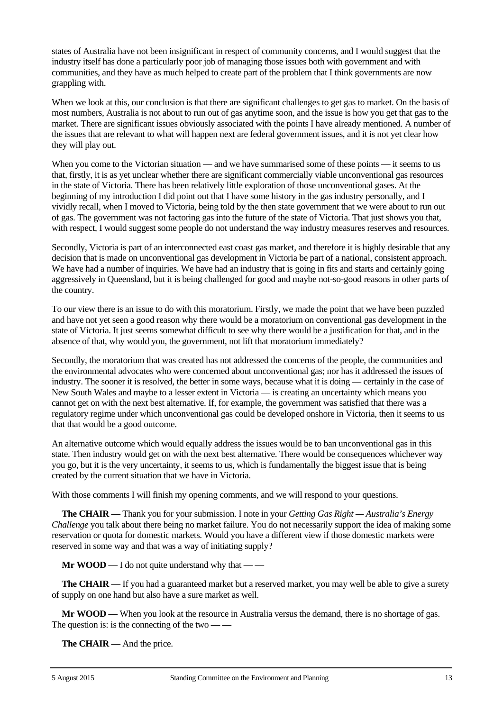states of Australia have not been insignificant in respect of community concerns, and I would suggest that the industry itself has done a particularly poor job of managing those issues both with government and with communities, and they have as much helped to create part of the problem that I think governments are now grappling with.

When we look at this, our conclusion is that there are significant challenges to get gas to market. On the basis of most numbers, Australia is not about to run out of gas anytime soon, and the issue is how you get that gas to the market. There are significant issues obviously associated with the points I have already mentioned. A number of the issues that are relevant to what will happen next are federal government issues, and it is not yet clear how they will play out.

When you come to the Victorian situation — and we have summarised some of these points — it seems to us that, firstly, it is as yet unclear whether there are significant commercially viable unconventional gas resources in the state of Victoria. There has been relatively little exploration of those unconventional gases. At the beginning of my introduction I did point out that I have some history in the gas industry personally, and I vividly recall, when I moved to Victoria, being told by the then state government that we were about to run out of gas. The government was not factoring gas into the future of the state of Victoria. That just shows you that, with respect. I would suggest some people do not understand the way industry measures reserves and resources.

Secondly, Victoria is part of an interconnected east coast gas market, and therefore it is highly desirable that any decision that is made on unconventional gas development in Victoria be part of a national, consistent approach. We have had a number of inquiries. We have had an industry that is going in fits and starts and certainly going aggressively in Queensland, but it is being challenged for good and maybe not-so-good reasons in other parts of the country.

To our view there is an issue to do with this moratorium. Firstly, we made the point that we have been puzzled and have not yet seen a good reason why there would be a moratorium on conventional gas development in the state of Victoria. It just seems somewhat difficult to see why there would be a justification for that, and in the absence of that, why would you, the government, not lift that moratorium immediately?

Secondly, the moratorium that was created has not addressed the concerns of the people, the communities and the environmental advocates who were concerned about unconventional gas; nor has it addressed the issues of industry. The sooner it is resolved, the better in some ways, because what it is doing — certainly in the case of New South Wales and maybe to a lesser extent in Victoria — is creating an uncertainty which means you cannot get on with the next best alternative. If, for example, the government was satisfied that there was a regulatory regime under which unconventional gas could be developed onshore in Victoria, then it seems to us that that would be a good outcome.

An alternative outcome which would equally address the issues would be to ban unconventional gas in this state. Then industry would get on with the next best alternative. There would be consequences whichever way you go, but it is the very uncertainty, it seems to us, which is fundamentally the biggest issue that is being created by the current situation that we have in Victoria.

With those comments I will finish my opening comments, and we will respond to your questions.

**The CHAIR** — Thank you for your submission. I note in your *Getting Gas Right — Australia's Energy Challenge* you talk about there being no market failure. You do not necessarily support the idea of making some reservation or quota for domestic markets. Would you have a different view if those domestic markets were reserved in some way and that was a way of initiating supply?

**Mr WOOD** — I do not quite understand why that — —

**The CHAIR** — If you had a guaranteed market but a reserved market, you may well be able to give a surety of supply on one hand but also have a sure market as well.

**Mr WOOD** — When you look at the resource in Australia versus the demand, there is no shortage of gas. The question is: is the connecting of the two  $-$ 

**The CHAIR** — And the price.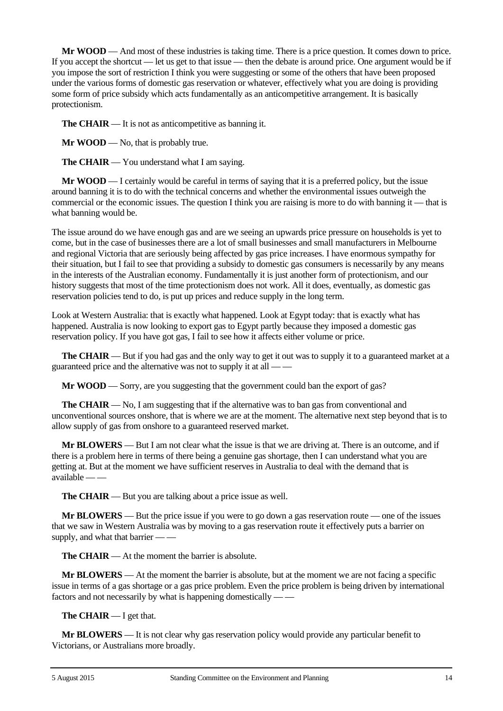**Mr WOOD** — And most of these industries is taking time. There is a price question. It comes down to price. If you accept the shortcut — let us get to that issue — then the debate is around price. One argument would be if you impose the sort of restriction I think you were suggesting or some of the others that have been proposed under the various forms of domestic gas reservation or whatever, effectively what you are doing is providing some form of price subsidy which acts fundamentally as an anticompetitive arrangement. It is basically protectionism.

**The CHAIR** — It is not as anticompetitive as banning it.

**Mr WOOD** — No, that is probably true.

**The CHAIR** — You understand what I am saying.

**Mr WOOD** — I certainly would be careful in terms of saying that it is a preferred policy, but the issue around banning it is to do with the technical concerns and whether the environmental issues outweigh the commercial or the economic issues. The question I think you are raising is more to do with banning it — that is what banning would be.

The issue around do we have enough gas and are we seeing an upwards price pressure on households is yet to come, but in the case of businesses there are a lot of small businesses and small manufacturers in Melbourne and regional Victoria that are seriously being affected by gas price increases. I have enormous sympathy for their situation, but I fail to see that providing a subsidy to domestic gas consumers is necessarily by any means in the interests of the Australian economy. Fundamentally it is just another form of protectionism, and our history suggests that most of the time protectionism does not work. All it does, eventually, as domestic gas reservation policies tend to do, is put up prices and reduce supply in the long term.

Look at Western Australia: that is exactly what happened. Look at Egypt today: that is exactly what has happened. Australia is now looking to export gas to Egypt partly because they imposed a domestic gas reservation policy. If you have got gas, I fail to see how it affects either volume or price.

**The CHAIR** — But if you had gas and the only way to get it out was to supply it to a guaranteed market at a guaranteed price and the alternative was not to supply it at all — —

**Mr WOOD** — Sorry, are you suggesting that the government could ban the export of gas?

**The CHAIR** — No, I am suggesting that if the alternative was to ban gas from conventional and unconventional sources onshore, that is where we are at the moment. The alternative next step beyond that is to allow supply of gas from onshore to a guaranteed reserved market.

**Mr BLOWERS** — But I am not clear what the issue is that we are driving at. There is an outcome, and if there is a problem here in terms of there being a genuine gas shortage, then I can understand what you are getting at. But at the moment we have sufficient reserves in Australia to deal with the demand that is available — —

**The CHAIR** — But you are talking about a price issue as well.

**Mr BLOWERS** — But the price issue if you were to go down a gas reservation route — one of the issues that we saw in Western Australia was by moving to a gas reservation route it effectively puts a barrier on supply, and what that barrier — —

**The CHAIR** — At the moment the barrier is absolute.

**Mr BLOWERS** — At the moment the barrier is absolute, but at the moment we are not facing a specific issue in terms of a gas shortage or a gas price problem. Even the price problem is being driven by international factors and not necessarily by what is happening domestically — —

**The CHAIR** — I get that.

**Mr BLOWERS** — It is not clear why gas reservation policy would provide any particular benefit to Victorians, or Australians more broadly.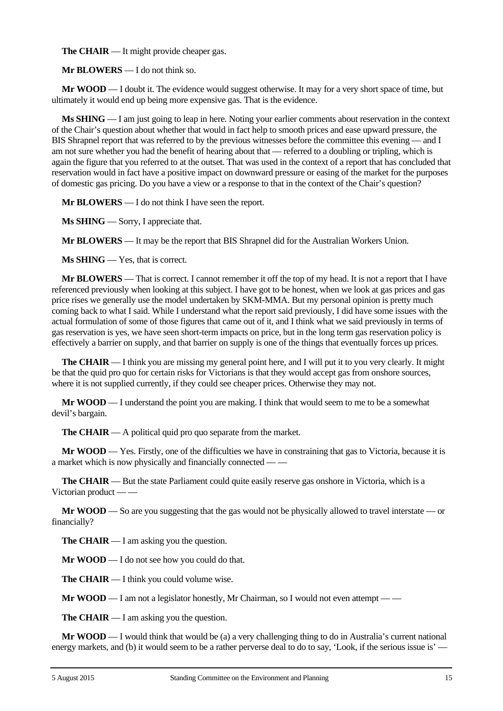**The CHAIR** — It might provide cheaper gas.

**Mr BLOWERS** — I do not think so.

**Mr WOOD** — I doubt it. The evidence would suggest otherwise. It may for a very short space of time, but ultimately it would end up being more expensive gas. That is the evidence.

**Ms SHING** — I am just going to leap in here. Noting your earlier comments about reservation in the context of the Chair's question about whether that would in fact help to smooth prices and ease upward pressure, the BIS Shrapnel report that was referred to by the previous witnesses before the committee this evening — and I am not sure whether you had the benefit of hearing about that — referred to a doubling or tripling, which is again the figure that you referred to at the outset. That was used in the context of a report that has concluded that reservation would in fact have a positive impact on downward pressure or easing of the market for the purposes of domestic gas pricing. Do you have a view or a response to that in the context of the Chair's question?

**Mr BLOWERS** — I do not think I have seen the report.

**Ms SHING** — Sorry, I appreciate that.

**Mr BLOWERS** — It may be the report that BIS Shrapnel did for the Australian Workers Union.

**Ms SHING** — Yes, that is correct.

**Mr BLOWERS** — That is correct. I cannot remember it off the top of my head. It is not a report that I have referenced previously when looking at this subject. I have got to be honest, when we look at gas prices and gas price rises we generally use the model undertaken by SKM-MMA. But my personal opinion is pretty much coming back to what I said. While I understand what the report said previously, I did have some issues with the actual formulation of some of those figures that came out of it, and I think what we said previously in terms of gas reservation is yes, we have seen short-term impacts on price, but in the long term gas reservation policy is effectively a barrier on supply, and that barrier on supply is one of the things that eventually forces up prices.

**The CHAIR** — I think you are missing my general point here, and I will put it to you very clearly. It might be that the quid pro quo for certain risks for Victorians is that they would accept gas from onshore sources, where it is not supplied currently, if they could see cheaper prices. Otherwise they may not.

**Mr WOOD** — I understand the point you are making. I think that would seem to me to be a somewhat devil's bargain.

**The CHAIR** — A political quid pro quo separate from the market.

**Mr WOOD** — Yes. Firstly, one of the difficulties we have in constraining that gas to Victoria, because it is a market which is now physically and financially connected — —

**The CHAIR** — But the state Parliament could quite easily reserve gas onshore in Victoria, which is a Victorian product — —

**Mr WOOD** — So are you suggesting that the gas would not be physically allowed to travel interstate — or financially?

**The CHAIR** — I am asking you the question.

**Mr WOOD** — I do not see how you could do that.

**The CHAIR** — I think you could volume wise.

**Mr WOOD** — I am not a legislator honestly, Mr Chairman, so I would not even attempt — —

**The CHAIR** — I am asking you the question.

**Mr <b>WOOD** — I would think that would be (a) a very challenging thing to do in Australia's current national energy markets, and (b) it would seem to be a rather perverse deal to do to say, 'Look, if the serious issue is' —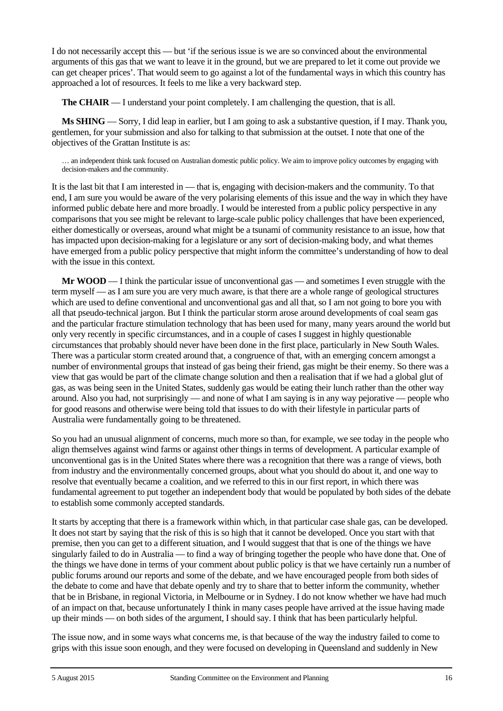I do not necessarily accept this — but 'if the serious issue is we are so convinced about the environmental arguments of this gas that we want to leave it in the ground, but we are prepared to let it come out provide we can get cheaper prices'. That would seem to go against a lot of the fundamental ways in which this country has approached a lot of resources. It feels to me like a very backward step.

**The CHAIR** — I understand your point completely. I am challenging the question, that is all.

**Ms SHING** — Sorry, I did leap in earlier, but I am going to ask a substantive question, if I may. Thank you, gentlemen, for your submission and also for talking to that submission at the outset. I note that one of the objectives of the Grattan Institute is as:

… an independent think tank focused on Australian domestic public policy. We aim to improve policy outcomes by engaging with decision-makers and the community.

It is the last bit that I am interested in — that is, engaging with decision-makers and the community. To that end, I am sure you would be aware of the very polarising elements of this issue and the way in which they have informed public debate here and more broadly. I would be interested from a public policy perspective in any comparisons that you see might be relevant to large-scale public policy challenges that have been experienced, either domestically or overseas, around what might be a tsunami of community resistance to an issue, how that has impacted upon decision-making for a legislature or any sort of decision-making body, and what themes have emerged from a public policy perspective that might inform the committee's understanding of how to deal with the issue in this context.

**Mr WOOD** — I think the particular issue of unconventional gas — and sometimes I even struggle with the term myself — as I am sure you are very much aware, is that there are a whole range of geological structures which are used to define conventional and unconventional gas and all that, so I am not going to bore you with all that pseudo-technical jargon. But I think the particular storm arose around developments of coal seam gas and the particular fracture stimulation technology that has been used for many, many years around the world but only very recently in specific circumstances, and in a couple of cases I suggest in highly questionable circumstances that probably should never have been done in the first place, particularly in New South Wales. There was a particular storm created around that, a congruence of that, with an emerging concern amongst a number of environmental groups that instead of gas being their friend, gas might be their enemy. So there was a view that gas would be part of the climate change solution and then a realisation that if we had a global glut of gas, as was being seen in the United States, suddenly gas would be eating their lunch rather than the other way around. Also you had, not surprisingly — and none of what I am saying is in any way pejorative — people who for good reasons and otherwise were being told that issues to do with their lifestyle in particular parts of Australia were fundamentally going to be threatened.

So you had an unusual alignment of concerns, much more so than, for example, we see today in the people who align themselves against wind farms or against other things in terms of development. A particular example of unconventional gas is in the United States where there was a recognition that there was a range of views, both from industry and the environmentally concerned groups, about what you should do about it, and one way to resolve that eventually became a coalition, and we referred to this in our first report, in which there was fundamental agreement to put together an independent body that would be populated by both sides of the debate to establish some commonly accepted standards.

It starts by accepting that there is a framework within which, in that particular case shale gas, can be developed. It does not start by saying that the risk of this is so high that it cannot be developed. Once you start with that premise, then you can get to a different situation, and I would suggest that that is one of the things we have singularly failed to do in Australia — to find a way of bringing together the people who have done that. One of the things we have done in terms of your comment about public policy is that we have certainly run a number of public forums around our reports and some of the debate, and we have encouraged people from both sides of the debate to come and have that debate openly and try to share that to better inform the community, whether that be in Brisbane, in regional Victoria, in Melbourne or in Sydney. I do not know whether we have had much of an impact on that, because unfortunately I think in many cases people have arrived at the issue having made up their minds — on both sides of the argument, I should say. I think that has been particularly helpful.

The issue now, and in some ways what concerns me, is that because of the way the industry failed to come to grips with this issue soon enough, and they were focused on developing in Queensland and suddenly in New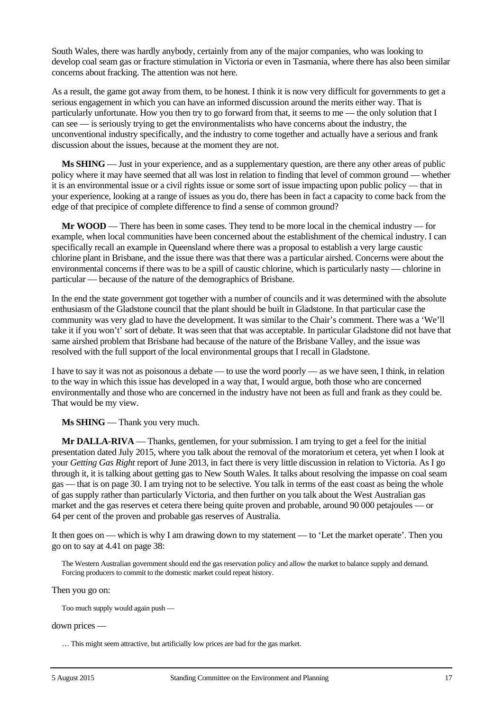South Wales, there was hardly anybody, certainly from any of the major companies, who was looking to develop coal seam gas or fracture stimulation in Victoria or even in Tasmania, where there has also been similar concerns about fracking. The attention was not here.

As a result, the game got away from them, to be honest. I think it is now very difficult for governments to get a serious engagement in which you can have an informed discussion around the merits either way. That is particularly unfortunate. How you then try to go forward from that, it seems to me — the only solution that I can see — is seriously trying to get the environmentalists who have concerns about the industry, the unconventional industry specifically, and the industry to come together and actually have a serious and frank discussion about the issues, because at the moment they are not.

**Ms SHING** — Just in your experience, and as a supplementary question, are there any other areas of public policy where it may have seemed that all was lost in relation to finding that level of common ground — whether it is an environmental issue or a civil rights issue or some sort of issue impacting upon public policy — that in your experience, looking at a range of issues as you do, there has been in fact a capacity to come back from the edge of that precipice of complete difference to find a sense of common ground?

**Mr WOOD** — There has been in some cases. They tend to be more local in the chemical industry — for example, when local communities have been concerned about the establishment of the chemical industry. I can specifically recall an example in Queensland where there was a proposal to establish a very large caustic chlorine plant in Brisbane, and the issue there was that there was a particular airshed. Concerns were about the environmental concerns if there was to be a spill of caustic chlorine, which is particularly nasty — chlorine in particular — because of the nature of the demographics of Brisbane.

In the end the state government got together with a number of councils and it was determined with the absolute enthusiasm of the Gladstone council that the plant should be built in Gladstone. In that particular case the community was very glad to have the development. It was similar to the Chair's comment. There was a 'We'll take it if you won't' sort of debate. It was seen that that was acceptable. In particular Gladstone did not have that same airshed problem that Brisbane had because of the nature of the Brisbane Valley, and the issue was resolved with the full support of the local environmental groups that I recall in Gladstone.

I have to say it was not as poisonous a debate — to use the word poorly — as we have seen, I think, in relation to the way in which this issue has developed in a way that, I would argue, both those who are concerned environmentally and those who are concerned in the industry have not been as full and frank as they could be. That would be my view.

**Ms SHING** — Thank you very much.

**Mr DALLA-RIVA** — Thanks, gentlemen, for your submission. I am trying to get a feel for the initial presentation dated July 2015, where you talk about the removal of the moratorium et cetera, yet when I look at your *Getting Gas Right* report of June 2013, in fact there is very little discussion in relation to Victoria. As I go through it, it is talking about getting gas to New South Wales. It talks about resolving the impasse on coal seam gas — that is on page 30. I am trying not to be selective. You talk in terms of the east coast as being the whole of gas supply rather than particularly Victoria, and then further on you talk about the West Australian gas market and the gas reserves et cetera there being quite proven and probable, around 90 000 petajoules — or 64 per cent of the proven and probable gas reserves of Australia.

It then goes on — which is why I am drawing down to my statement — to 'Let the market operate'. Then you go on to say at 4.41 on page 38:

The Western Australian government should end the gas reservation policy and allow the market to balance supply and demand. Forcing producers to commit to the domestic market could repeat history.

Then you go on:

Too much supply would again push —

down prices —

… This might seem attractive, but artificially low prices are bad for the gas market.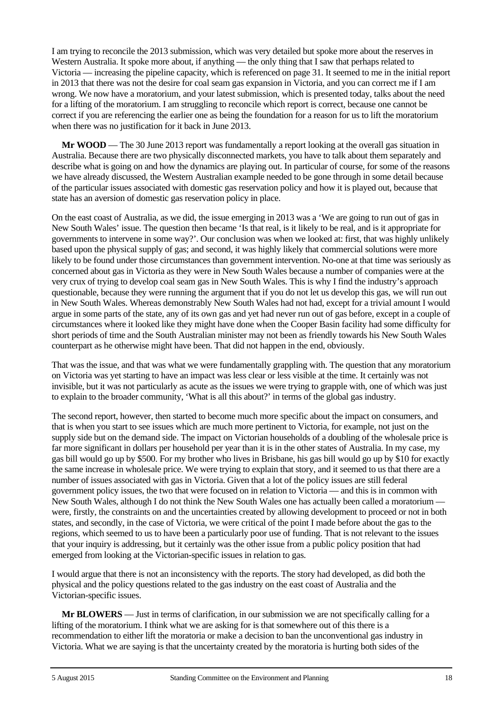I am trying to reconcile the 2013 submission, which was very detailed but spoke more about the reserves in Western Australia. It spoke more about, if anything — the only thing that I saw that perhaps related to Victoria — increasing the pipeline capacity, which is referenced on page 31. It seemed to me in the initial report in 2013 that there was not the desire for coal seam gas expansion in Victoria, and you can correct me if I am wrong. We now have a moratorium, and your latest submission, which is presented today, talks about the need for a lifting of the moratorium. I am struggling to reconcile which report is correct, because one cannot be correct if you are referencing the earlier one as being the foundation for a reason for us to lift the moratorium when there was no justification for it back in June 2013.

**Mr WOOD** — The 30 June 2013 report was fundamentally a report looking at the overall gas situation in Australia. Because there are two physically disconnected markets, you have to talk about them separately and describe what is going on and how the dynamics are playing out. In particular of course, for some of the reasons we have already discussed, the Western Australian example needed to be gone through in some detail because of the particular issues associated with domestic gas reservation policy and how it is played out, because that state has an aversion of domestic gas reservation policy in place.

On the east coast of Australia, as we did, the issue emerging in 2013 was a 'We are going to run out of gas in New South Wales' issue. The question then became 'Is that real, is it likely to be real, and is it appropriate for governments to intervene in some way?'. Our conclusion was when we looked at: first, that was highly unlikely based upon the physical supply of gas; and second, it was highly likely that commercial solutions were more likely to be found under those circumstances than government intervention. No-one at that time was seriously as concerned about gas in Victoria as they were in New South Wales because a number of companies were at the very crux of trying to develop coal seam gas in New South Wales. This is why I find the industry's approach questionable, because they were running the argument that if you do not let us develop this gas, we will run out in New South Wales. Whereas demonstrably New South Wales had not had, except for a trivial amount I would argue in some parts of the state, any of its own gas and yet had never run out of gas before, except in a couple of circumstances where it looked like they might have done when the Cooper Basin facility had some difficulty for short periods of time and the South Australian minister may not been as friendly towards his New South Wales counterpart as he otherwise might have been. That did not happen in the end, obviously.

That was the issue, and that was what we were fundamentally grappling with. The question that any moratorium on Victoria was yet starting to have an impact was less clear or less visible at the time. It certainly was not invisible, but it was not particularly as acute as the issues we were trying to grapple with, one of which was just to explain to the broader community, 'What is all this about?' in terms of the global gas industry.

The second report, however, then started to become much more specific about the impact on consumers, and that is when you start to see issues which are much more pertinent to Victoria, for example, not just on the supply side but on the demand side. The impact on Victorian households of a doubling of the wholesale price is far more significant in dollars per household per year than it is in the other states of Australia. In my case, my gas bill would go up by \$500. For my brother who lives in Brisbane, his gas bill would go up by \$10 for exactly the same increase in wholesale price. We were trying to explain that story, and it seemed to us that there are a number of issues associated with gas in Victoria. Given that a lot of the policy issues are still federal government policy issues, the two that were focused on in relation to Victoria — and this is in common with New South Wales, although I do not think the New South Wales one has actually been called a moratorium – were, firstly, the constraints on and the uncertainties created by allowing development to proceed or not in both states, and secondly, in the case of Victoria, we were critical of the point I made before about the gas to the regions, which seemed to us to have been a particularly poor use of funding. That is not relevant to the issues that your inquiry is addressing, but it certainly was the other issue from a public policy position that had emerged from looking at the Victorian-specific issues in relation to gas.

I would argue that there is not an inconsistency with the reports. The story had developed, as did both the physical and the policy questions related to the gas industry on the east coast of Australia and the Victorian-specific issues.

**Mr BLOWERS** — Just in terms of clarification, in our submission we are not specifically calling for a lifting of the moratorium. I think what we are asking for is that somewhere out of this there is a recommendation to either lift the moratoria or make a decision to ban the unconventional gas industry in Victoria. What we are saying is that the uncertainty created by the moratoria is hurting both sides of the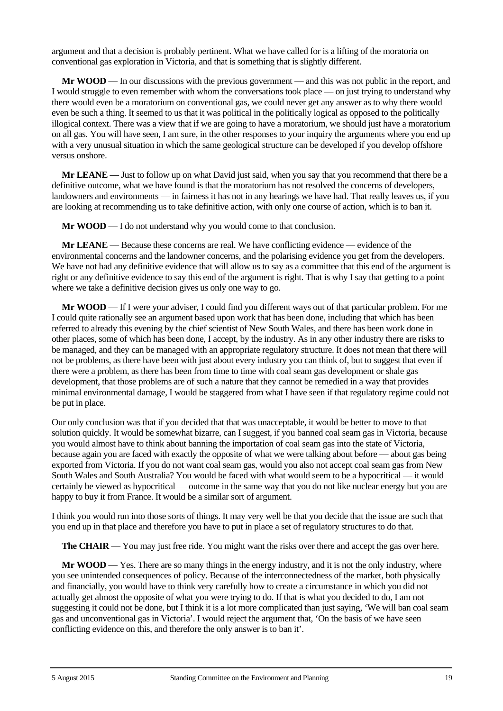argument and that a decision is probably pertinent. What we have called for is a lifting of the moratoria on conventional gas exploration in Victoria, and that is something that is slightly different.

**Mr WOOD** — In our discussions with the previous government — and this was not public in the report, and I would struggle to even remember with whom the conversations took place — on just trying to understand why there would even be a moratorium on conventional gas, we could never get any answer as to why there would even be such a thing. It seemed to us that it was political in the politically logical as opposed to the politically illogical context. There was a view that if we are going to have a moratorium, we should just have a moratorium on all gas. You will have seen, I am sure, in the other responses to your inquiry the arguments where you end up with a very unusual situation in which the same geological structure can be developed if you develop offshore versus onshore.

**Mr LEANE** — Just to follow up on what David just said, when you say that you recommend that there be a definitive outcome, what we have found is that the moratorium has not resolved the concerns of developers, landowners and environments — in fairness it has not in any hearings we have had. That really leaves us, if you are looking at recommending us to take definitive action, with only one course of action, which is to ban it.

**Mr WOOD** — I do not understand why you would come to that conclusion.

**Mr LEANE** — Because these concerns are real. We have conflicting evidence — evidence of the environmental concerns and the landowner concerns, and the polarising evidence you get from the developers. We have not had any definitive evidence that will allow us to say as a committee that this end of the argument is right or any definitive evidence to say this end of the argument is right. That is why I say that getting to a point where we take a definitive decision gives us only one way to go.

**Mr WOOD** — If I were your adviser, I could find you different ways out of that particular problem. For me I could quite rationally see an argument based upon work that has been done, including that which has been referred to already this evening by the chief scientist of New South Wales, and there has been work done in other places, some of which has been done, I accept, by the industry. As in any other industry there are risks to be managed, and they can be managed with an appropriate regulatory structure. It does not mean that there will not be problems, as there have been with just about every industry you can think of, but to suggest that even if there were a problem, as there has been from time to time with coal seam gas development or shale gas development, that those problems are of such a nature that they cannot be remedied in a way that provides minimal environmental damage, I would be staggered from what I have seen if that regulatory regime could not be put in place.

Our only conclusion was that if you decided that that was unacceptable, it would be better to move to that solution quickly. It would be somewhat bizarre, can I suggest, if you banned coal seam gas in Victoria, because you would almost have to think about banning the importation of coal seam gas into the state of Victoria, because again you are faced with exactly the opposite of what we were talking about before — about gas being exported from Victoria. If you do not want coal seam gas, would you also not accept coal seam gas from New South Wales and South Australia? You would be faced with what would seem to be a hypocritical — it would certainly be viewed as hypocritical — outcome in the same way that you do not like nuclear energy but you are happy to buy it from France. It would be a similar sort of argument.

I think you would run into those sorts of things. It may very well be that you decide that the issue are such that you end up in that place and therefore you have to put in place a set of regulatory structures to do that.

**The CHAIR** — You may just free ride. You might want the risks over there and accept the gas over here.

**Mr WOOD** — Yes. There are so many things in the energy industry, and it is not the only industry, where you see unintended consequences of policy. Because of the interconnectedness of the market, both physically and financially, you would have to think very carefully how to create a circumstance in which you did not actually get almost the opposite of what you were trying to do. If that is what you decided to do, I am not suggesting it could not be done, but I think it is a lot more complicated than just saying, 'We will ban coal seam gas and unconventional gas in Victoria'. I would reject the argument that, 'On the basis of we have seen conflicting evidence on this, and therefore the only answer is to ban it'.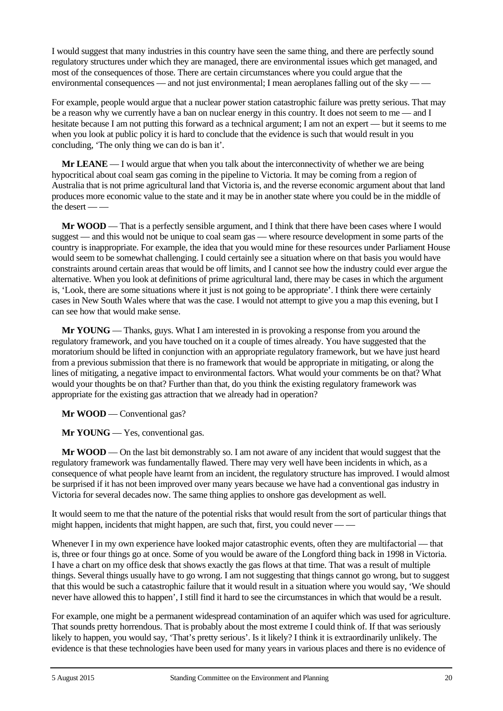I would suggest that many industries in this country have seen the same thing, and there are perfectly sound regulatory structures under which they are managed, there are environmental issues which get managed, and most of the consequences of those. There are certain circumstances where you could argue that the environmental consequences — and not just environmental; I mean aeroplanes falling out of the sky —

For example, people would argue that a nuclear power station catastrophic failure was pretty serious. That may be a reason why we currently have a ban on nuclear energy in this country. It does not seem to me — and I hesitate because I am not putting this forward as a technical argument; I am not an expert — but it seems to me when you look at public policy it is hard to conclude that the evidence is such that would result in you concluding, 'The only thing we can do is ban it'.

**Mr LEANE** — I would argue that when you talk about the interconnectivity of whether we are being hypocritical about coal seam gas coming in the pipeline to Victoria. It may be coming from a region of Australia that is not prime agricultural land that Victoria is, and the reverse economic argument about that land produces more economic value to the state and it may be in another state where you could be in the middle of the desert — —

**Mr WOOD** — That is a perfectly sensible argument, and I think that there have been cases where I would suggest — and this would not be unique to coal seam gas — where resource development in some parts of the country is inappropriate. For example, the idea that you would mine for these resources under Parliament House would seem to be somewhat challenging. I could certainly see a situation where on that basis you would have constraints around certain areas that would be off limits, and I cannot see how the industry could ever argue the alternative. When you look at definitions of prime agricultural land, there may be cases in which the argument is, 'Look, there are some situations where it just is not going to be appropriate'. I think there were certainly cases in New South Wales where that was the case. I would not attempt to give you a map this evening, but I can see how that would make sense.

**Mr YOUNG** — Thanks, guys. What I am interested in is provoking a response from you around the regulatory framework, and you have touched on it a couple of times already. You have suggested that the moratorium should be lifted in conjunction with an appropriate regulatory framework, but we have just heard from a previous submission that there is no framework that would be appropriate in mitigating, or along the lines of mitigating, a negative impact to environmental factors. What would your comments be on that? What would your thoughts be on that? Further than that, do you think the existing regulatory framework was appropriate for the existing gas attraction that we already had in operation?

**Mr WOOD** — Conventional gas?

**Mr YOUNG** — Yes, conventional gas.

**Mr WOOD** — On the last bit demonstrably so. I am not aware of any incident that would suggest that the regulatory framework was fundamentally flawed. There may very well have been incidents in which, as a consequence of what people have learnt from an incident, the regulatory structure has improved. I would almost be surprised if it has not been improved over many years because we have had a conventional gas industry in Victoria for several decades now. The same thing applies to onshore gas development as well.

It would seem to me that the nature of the potential risks that would result from the sort of particular things that might happen, incidents that might happen, are such that, first, you could never — —

Whenever I in my own experience have looked major catastrophic events, often they are multifactorial — that is, three or four things go at once. Some of you would be aware of the Longford thing back in 1998 in Victoria. I have a chart on my office desk that shows exactly the gas flows at that time. That was a result of multiple things. Several things usually have to go wrong. I am not suggesting that things cannot go wrong, but to suggest that this would be such a catastrophic failure that it would result in a situation where you would say, 'We should never have allowed this to happen', I still find it hard to see the circumstances in which that would be a result.

For example, one might be a permanent widespread contamination of an aquifer which was used for agriculture. That sounds pretty horrendous. That is probably about the most extreme I could think of. If that was seriously likely to happen, you would say, 'That's pretty serious'. Is it likely? I think it is extraordinarily unlikely. The evidence is that these technologies have been used for many years in various places and there is no evidence of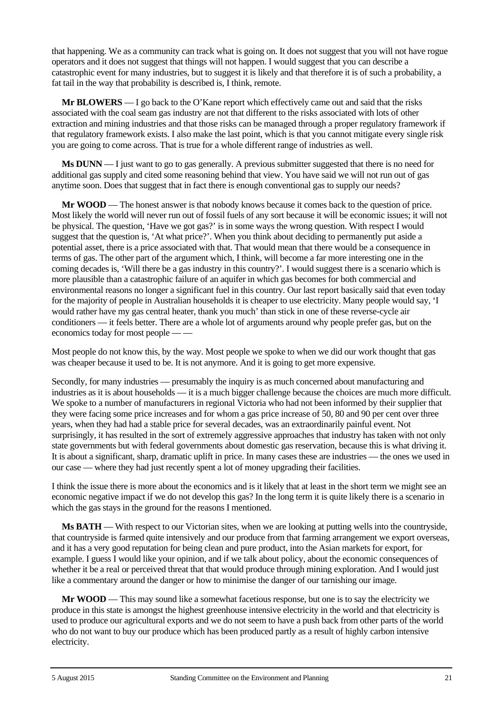that happening. We as a community can track what is going on. It does not suggest that you will not have rogue operators and it does not suggest that things will not happen. I would suggest that you can describe a catastrophic event for many industries, but to suggest it is likely and that therefore it is of such a probability, a fat tail in the way that probability is described is, I think, remote.

**Mr BLOWERS** — I go back to the O'Kane report which effectively came out and said that the risks associated with the coal seam gas industry are not that different to the risks associated with lots of other extraction and mining industries and that those risks can be managed through a proper regulatory framework if that regulatory framework exists. I also make the last point, which is that you cannot mitigate every single risk you are going to come across. That is true for a whole different range of industries as well.

**Ms DUNN** — I just want to go to gas generally. A previous submitter suggested that there is no need for additional gas supply and cited some reasoning behind that view. You have said we will not run out of gas anytime soon. Does that suggest that in fact there is enough conventional gas to supply our needs?

**Mr WOOD** — The honest answer is that nobody knows because it comes back to the question of price. Most likely the world will never run out of fossil fuels of any sort because it will be economic issues; it will not be physical. The question, 'Have we got gas?' is in some ways the wrong question. With respect I would suggest that the question is, 'At what price?'. When you think about deciding to permanently put aside a potential asset, there is a price associated with that. That would mean that there would be a consequence in terms of gas. The other part of the argument which, I think, will become a far more interesting one in the coming decades is, 'Will there be a gas industry in this country?'. I would suggest there is a scenario which is more plausible than a catastrophic failure of an aquifer in which gas becomes for both commercial and environmental reasons no longer a significant fuel in this country. Our last report basically said that even today for the majority of people in Australian households it is cheaper to use electricity. Many people would say, 'I would rather have my gas central heater, thank you much' than stick in one of these reverse-cycle air conditioners — it feels better. There are a whole lot of arguments around why people prefer gas, but on the economics today for most people — —

Most people do not know this, by the way. Most people we spoke to when we did our work thought that gas was cheaper because it used to be. It is not anymore. And it is going to get more expensive.

Secondly, for many industries — presumably the inquiry is as much concerned about manufacturing and industries as it is about households — it is a much bigger challenge because the choices are much more difficult. We spoke to a number of manufacturers in regional Victoria who had not been informed by their supplier that they were facing some price increases and for whom a gas price increase of 50, 80 and 90 per cent over three years, when they had had a stable price for several decades, was an extraordinarily painful event. Not surprisingly, it has resulted in the sort of extremely aggressive approaches that industry has taken with not only state governments but with federal governments about domestic gas reservation, because this is what driving it. It is about a significant, sharp, dramatic uplift in price. In many cases these are industries — the ones we used in our case — where they had just recently spent a lot of money upgrading their facilities.

I think the issue there is more about the economics and is it likely that at least in the short term we might see an economic negative impact if we do not develop this gas? In the long term it is quite likely there is a scenario in which the gas stays in the ground for the reasons I mentioned.

**Ms BATH** — With respect to our Victorian sites, when we are looking at putting wells into the countryside, that countryside is farmed quite intensively and our produce from that farming arrangement we export overseas, and it has a very good reputation for being clean and pure product, into the Asian markets for export, for example. I guess I would like your opinion, and if we talk about policy, about the economic consequences of whether it be a real or perceived threat that that would produce through mining exploration. And I would just like a commentary around the danger or how to minimise the danger of our tarnishing our image.

**Mr WOOD** — This may sound like a somewhat facetious response, but one is to say the electricity we produce in this state is amongst the highest greenhouse intensive electricity in the world and that electricity is used to produce our agricultural exports and we do not seem to have a push back from other parts of the world who do not want to buy our produce which has been produced partly as a result of highly carbon intensive electricity.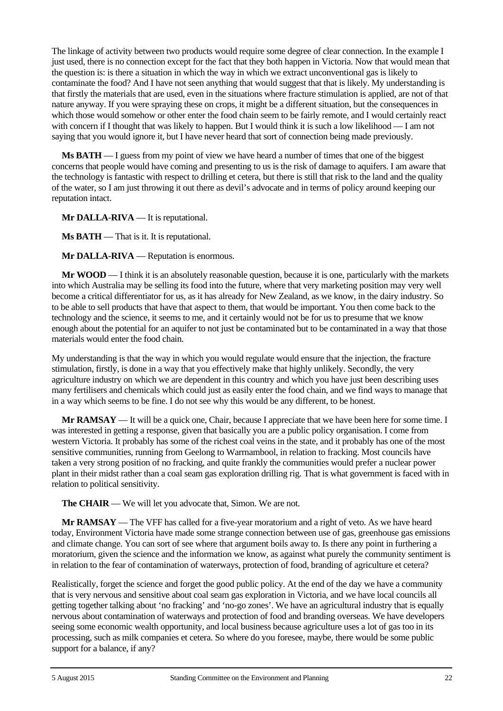The linkage of activity between two products would require some degree of clear connection. In the example I just used, there is no connection except for the fact that they both happen in Victoria. Now that would mean that the question is: is there a situation in which the way in which we extract unconventional gas is likely to contaminate the food? And I have not seen anything that would suggest that that is likely. My understanding is that firstly the materials that are used, even in the situations where fracture stimulation is applied, are not of that nature anyway. If you were spraying these on crops, it might be a different situation, but the consequences in which those would somehow or other enter the food chain seem to be fairly remote, and I would certainly react with concern if I thought that was likely to happen. But I would think it is such a low likelihood — I am not saying that you would ignore it, but I have never heard that sort of connection being made previously.

**Ms BATH** — I guess from my point of view we have heard a number of times that one of the biggest concerns that people would have coming and presenting to us is the risk of damage to aquifers. I am aware that the technology is fantastic with respect to drilling et cetera, but there is still that risk to the land and the quality of the water, so I am just throwing it out there as devil's advocate and in terms of policy around keeping our reputation intact.

**Mr DALLA-RIVA** — It is reputational.

**Ms BATH** — That is it. It is reputational.

**Mr DALLA-RIVA** — Reputation is enormous.

**Mr WOOD** — I think it is an absolutely reasonable question, because it is one, particularly with the markets into which Australia may be selling its food into the future, where that very marketing position may very well become a critical differentiator for us, as it has already for New Zealand, as we know, in the dairy industry. So to be able to sell products that have that aspect to them, that would be important. You then come back to the technology and the science, it seems to me, and it certainly would not be for us to presume that we know enough about the potential for an aquifer to not just be contaminated but to be contaminated in a way that those materials would enter the food chain.

My understanding is that the way in which you would regulate would ensure that the injection, the fracture stimulation, firstly, is done in a way that you effectively make that highly unlikely. Secondly, the very agriculture industry on which we are dependent in this country and which you have just been describing uses many fertilisers and chemicals which could just as easily enter the food chain, and we find ways to manage that in a way which seems to be fine. I do not see why this would be any different, to be honest.

**Mr RAMSAY** — It will be a quick one, Chair, because I appreciate that we have been here for some time. I was interested in getting a response, given that basically you are a public policy organisation. I come from western Victoria. It probably has some of the richest coal veins in the state, and it probably has one of the most sensitive communities, running from Geelong to Warrnambool, in relation to fracking. Most councils have taken a very strong position of no fracking, and quite frankly the communities would prefer a nuclear power plant in their midst rather than a coal seam gas exploration drilling rig. That is what government is faced with in relation to political sensitivity.

**The CHAIR** — We will let you advocate that, Simon. We are not.

**Mr RAMSAY** — The VFF has called for a five-year moratorium and a right of veto. As we have heard today, Environment Victoria have made some strange connection between use of gas, greenhouse gas emissions and climate change. You can sort of see where that argument boils away to. Is there any point in furthering a moratorium, given the science and the information we know, as against what purely the community sentiment is in relation to the fear of contamination of waterways, protection of food, branding of agriculture et cetera?

Realistically, forget the science and forget the good public policy. At the end of the day we have a community that is very nervous and sensitive about coal seam gas exploration in Victoria, and we have local councils all getting together talking about 'no fracking' and 'no-go zones'. We have an agricultural industry that is equally nervous about contamination of waterways and protection of food and branding overseas. We have developers seeing some economic wealth opportunity, and local business because agriculture uses a lot of gas too in its processing, such as milk companies et cetera. So where do you foresee, maybe, there would be some public support for a balance, if any?